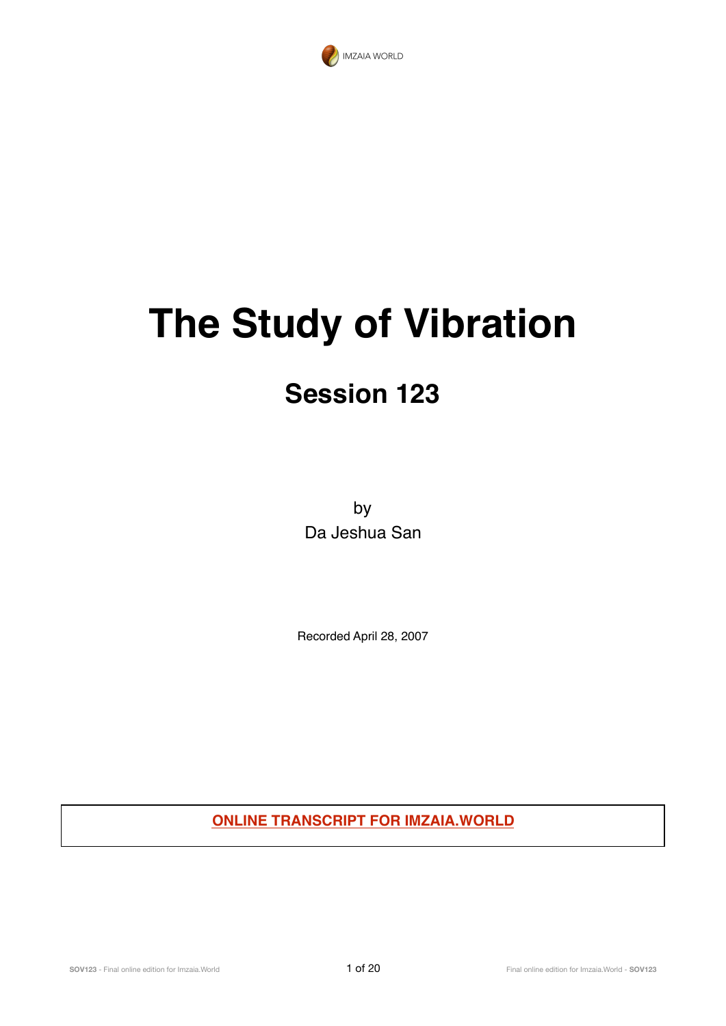

# **The Study of Vibration**

# **Session 123**

by Da Jeshua San

Recorded April 28, 2007

**ONLINE TRANSCRIPT FOR IMZAIA.WORLD**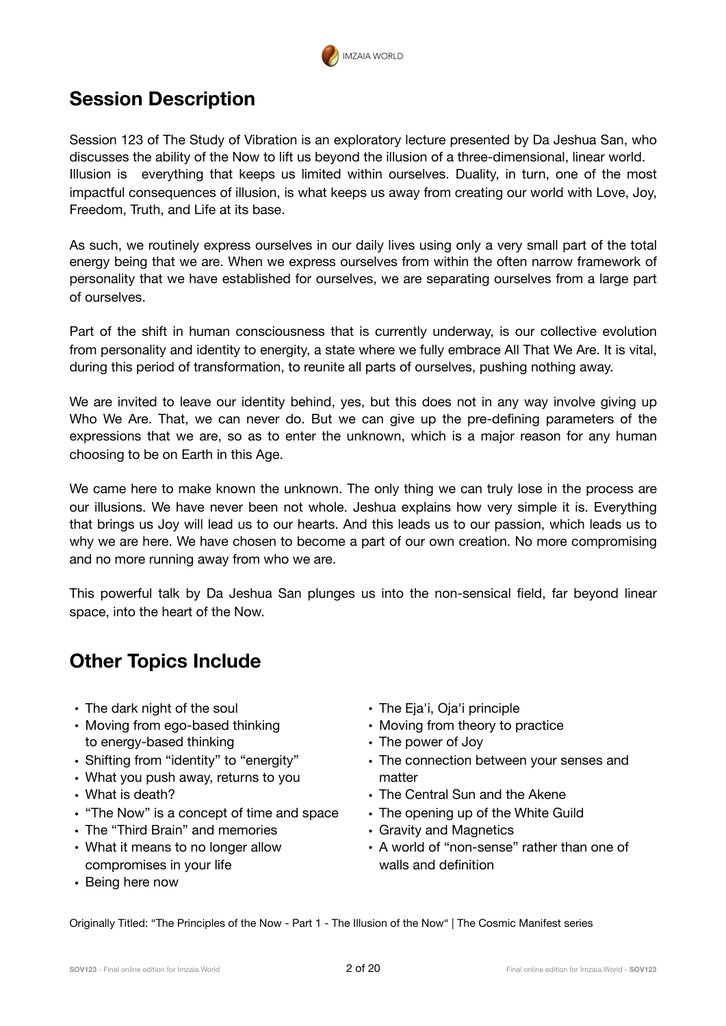

# **Session Description**

Session 123 of The Study of Vibration is an exploratory lecture presented by Da Jeshua San, who discusses the ability of the Now to lift us beyond the illusion of a three-dimensional, linear world. Illusion is everything that keeps us limited within ourselves. Duality, in turn, one of the most impactful consequences of illusion, is what keeps us away from creating our world with Love, Joy, Freedom, Truth, and Life at its base.

As such, we routinely express ourselves in our daily lives using only a very small part of the total energy being that we are. When we express ourselves from within the often narrow framework of personality that we have established for ourselves, we are separating ourselves from a large part of ourselves.

Part of the shift in human consciousness that is currently underway, is our collective evolution from personality and identity to energity, a state where we fully embrace All That We Are. It is vital, during this period of transformation, to reunite all parts of ourselves, pushing nothing away.

We are invited to leave our identity behind, yes, but this does not in any way involve giving up Who We Are. That, we can never do. But we can give up the pre-defining parameters of the expressions that we are, so as to enter the unknown, which is a major reason for any human choosing to be on Earth in this Age.

We came here to make known the unknown. The only thing we can truly lose in the process are our illusions. We have never been not whole. Jeshua explains how very simple it is. Everything that brings us Joy will lead us to our hearts. And this leads us to our passion, which leads us to why we are here. We have chosen to become a part of our own creation. No more compromising and no more running away from who we are.

This powerful talk by Da Jeshua San plunges us into the non-sensical field, far beyond linear space, into the heart of the Now.

# **Other Topics Include**

- The dark night of the soul
- Moving from ego-based thinking to energy-based thinking
- Shifting from "identity" to "energity"
- What you push away, returns to you
- What is death?
- "The Now" is a concept of time and space
- The "Third Brain" and memories
- What it means to no longer allow compromises in your life
- The Eja'i, Oja'i principle
- Moving from theory to practice
- The power of Joy
- The connection between your senses and matter
- The Central Sun and the Akene
- The opening up of the White Guild
- Gravity and Magnetics
- A world of "non-sense" rather than one of walls and definition

• Being here now

Originally Titled: "The Principles of the Now - Part 1 - The Illusion of the Now" | The Cosmic Manifest series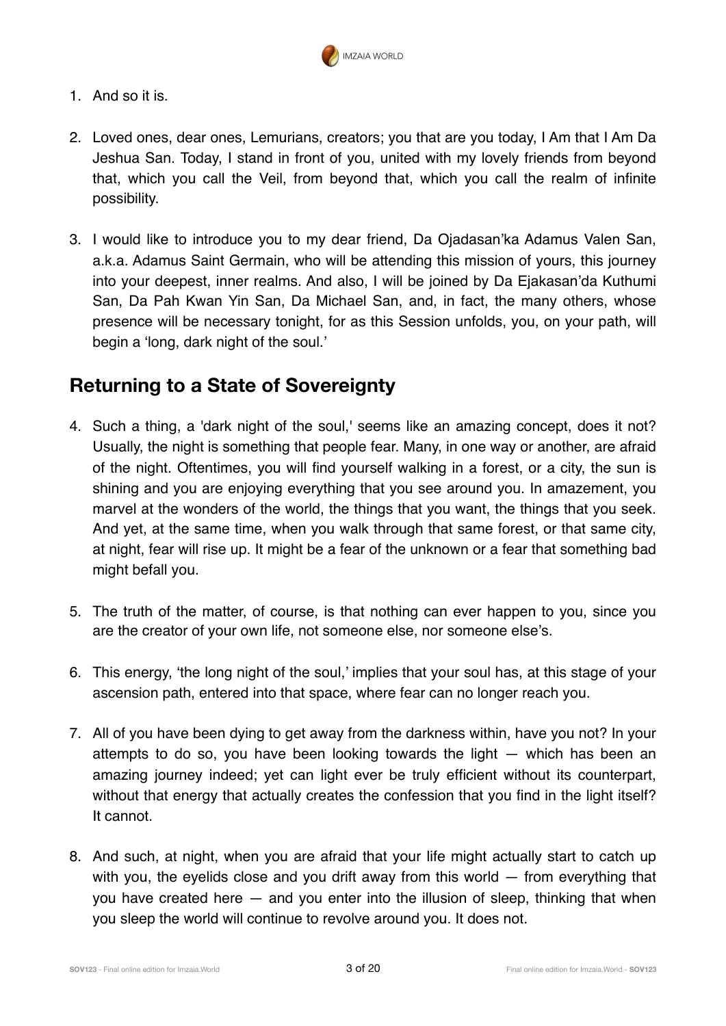

- 1. And so it is.
- 2. Loved ones, dear ones, Lemurians, creators; you that are you today, I Am that I Am Da Jeshua San. Today, I stand in front of you, united with my lovely friends from beyond that, which you call the Veil, from beyond that, which you call the realm of infinite possibility.
- 3. I would like to introduce you to my dear friend, Da Ojadasan'ka Adamus Valen San, a.k.a. Adamus Saint Germain, who will be attending this mission of yours, this journey into your deepest, inner realms. And also, I will be joined by Da Ejakasan'da Kuthumi San, Da Pah Kwan Yin San, Da Michael San, and, in fact, the many others, whose presence will be necessary tonight, for as this Session unfolds, you, on your path, will begin a 'long, dark night of the soul.'

### **Returning to a State of Sovereignty**

- 4. Such a thing, a 'dark night of the soul,' seems like an amazing concept, does it not? Usually, the night is something that people fear. Many, in one way or another, are afraid of the night. Oftentimes, you will find yourself walking in a forest, or a city, the sun is shining and you are enjoying everything that you see around you. In amazement, you marvel at the wonders of the world, the things that you want, the things that you seek. And yet, at the same time, when you walk through that same forest, or that same city, at night, fear will rise up. It might be a fear of the unknown or a fear that something bad might befall you.
- 5. The truth of the matter, of course, is that nothing can ever happen to you, since you are the creator of your own life, not someone else, nor someone else's.
- 6. This energy, 'the long night of the soul,' implies that your soul has, at this stage of your ascension path, entered into that space, where fear can no longer reach you.
- 7. All of you have been dying to get away from the darkness within, have you not? In your attempts to do so, you have been looking towards the light — which has been an amazing journey indeed; yet can light ever be truly efficient without its counterpart, without that energy that actually creates the confession that you find in the light itself? It cannot.
- 8. And such, at night, when you are afraid that your life might actually start to catch up with you, the eyelids close and you drift away from this world — from everything that you have created here — and you enter into the illusion of sleep, thinking that when you sleep the world will continue to revolve around you. It does not.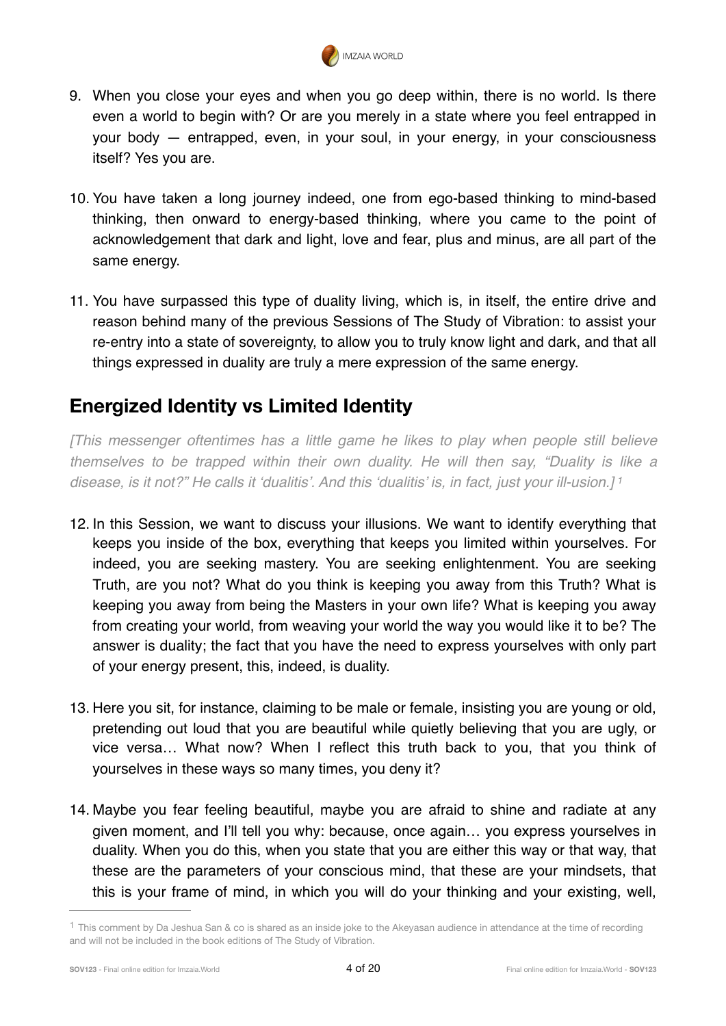<span id="page-3-1"></span>

- 9. When you close your eyes and when you go deep within, there is no world. Is there even a world to begin with? Or are you merely in a state where you feel entrapped in your body — entrapped, even, in your soul, in your energy, in your consciousness itself? Yes you are.
- 10. You have taken a long journey indeed, one from ego-based thinking to mind-based thinking, then onward to energy-based thinking, where you came to the point of acknowledgement that dark and light, love and fear, plus and minus, are all part of the same energy.
- 11. You have surpassed this type of duality living, which is, in itself, the entire drive and reason behind many of the previous Sessions of The Study of Vibration: to assist your re-entry into a state of sovereignty, to allow you to truly know light and dark, and that all things expressed in duality are truly a mere expression of the same energy.

# **Energized Identity vs Limited Identity**

*[This messenger oftentimes has a little game he likes to play when people still believe themselves to be trapped within their own duality. He will then say, "Duality is like a disease, is it not?" He calls it 'dualitis'. And this 'dualitis' is, in fact, just your ill-usion.] [1](#page-3-0)*

- 12. In this Session, we want to discuss your illusions. We want to identify everything that keeps you inside of the box, everything that keeps you limited within yourselves. For indeed, you are seeking mastery. You are seeking enlightenment. You are seeking Truth, are you not? What do you think is keeping you away from this Truth? What is keeping you away from being the Masters in your own life? What is keeping you away from creating your world, from weaving your world the way you would like it to be? The answer is duality; the fact that you have the need to express yourselves with only part of your energy present, this, indeed, is duality.
- 13. Here you sit, for instance, claiming to be male or female, insisting you are young or old, pretending out loud that you are beautiful while quietly believing that you are ugly, or vice versa… What now? When I reflect this truth back to you, that you think of yourselves in these ways so many times, you deny it?
- 14. Maybe you fear feeling beautiful, maybe you are afraid to shine and radiate at any given moment, and I'll tell you why: because, once again… you express yourselves in duality. When you do this, when you state that you are either this way or that way, that these are the parameters of your conscious mind, that these are your mindsets, that this is your frame of mind, in which you will do your thinking and your existing, well,

<span id="page-3-0"></span> $1$  This comment by Da Jeshua San & co is shared as an inside joke to the Akeyasan audience in attendance at the time of recording and will not be included in the book editions of The Study of Vibration.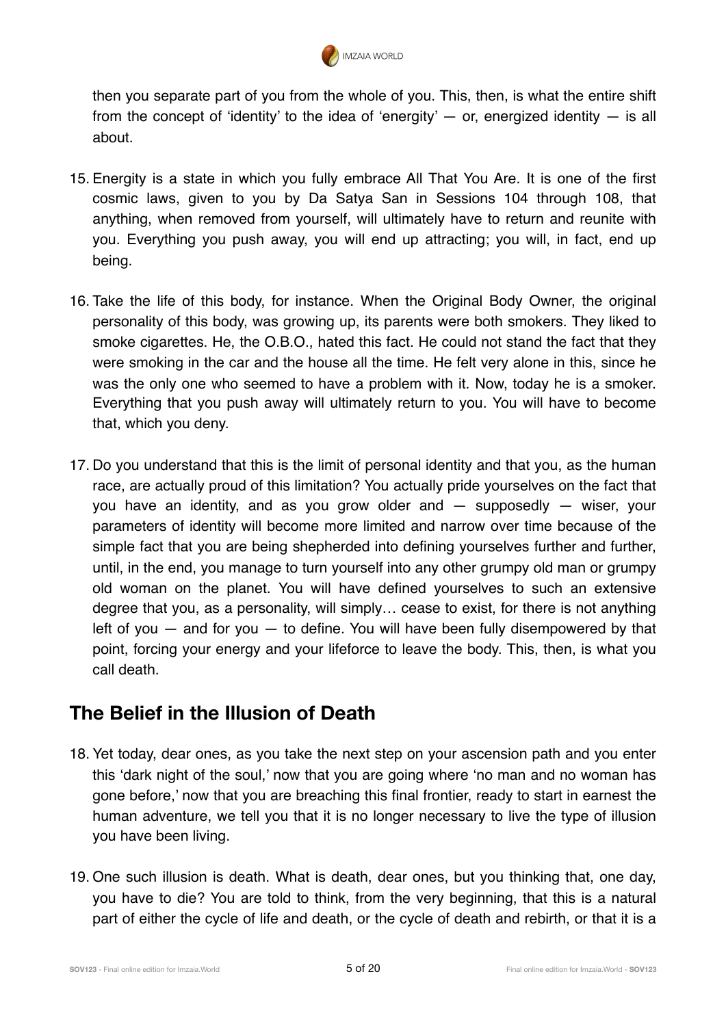

then you separate part of you from the whole of you. This, then, is what the entire shift from the concept of 'identity' to the idea of 'energity'  $-$  or, energized identity  $-$  is all about.

- 15. Energity is a state in which you fully embrace All That You Are. It is one of the first cosmic laws, given to you by Da Satya San in Sessions 104 through 108, that anything, when removed from yourself, will ultimately have to return and reunite with you. Everything you push away, you will end up attracting; you will, in fact, end up being.
- 16. Take the life of this body, for instance. When the Original Body Owner, the original personality of this body, was growing up, its parents were both smokers. They liked to smoke cigarettes. He, the O.B.O., hated this fact. He could not stand the fact that they were smoking in the car and the house all the time. He felt very alone in this, since he was the only one who seemed to have a problem with it. Now, today he is a smoker. Everything that you push away will ultimately return to you. You will have to become that, which you deny.
- 17. Do you understand that this is the limit of personal identity and that you, as the human race, are actually proud of this limitation? You actually pride yourselves on the fact that you have an identity, and as you grow older and — supposedly — wiser, your parameters of identity will become more limited and narrow over time because of the simple fact that you are being shepherded into defining yourselves further and further, until, in the end, you manage to turn yourself into any other grumpy old man or grumpy old woman on the planet. You will have defined yourselves to such an extensive degree that you, as a personality, will simply… cease to exist, for there is not anything left of you  $-$  and for you  $-$  to define. You will have been fully disempowered by that point, forcing your energy and your lifeforce to leave the body. This, then, is what you call death.

# **The Belief in the Illusion of Death**

- 18. Yet today, dear ones, as you take the next step on your ascension path and you enter this 'dark night of the soul,' now that you are going where 'no man and no woman has gone before,' now that you are breaching this final frontier, ready to start in earnest the human adventure, we tell you that it is no longer necessary to live the type of illusion you have been living.
- 19. One such illusion is death. What is death, dear ones, but you thinking that, one day, you have to die? You are told to think, from the very beginning, that this is a natural part of either the cycle of life and death, or the cycle of death and rebirth, or that it is a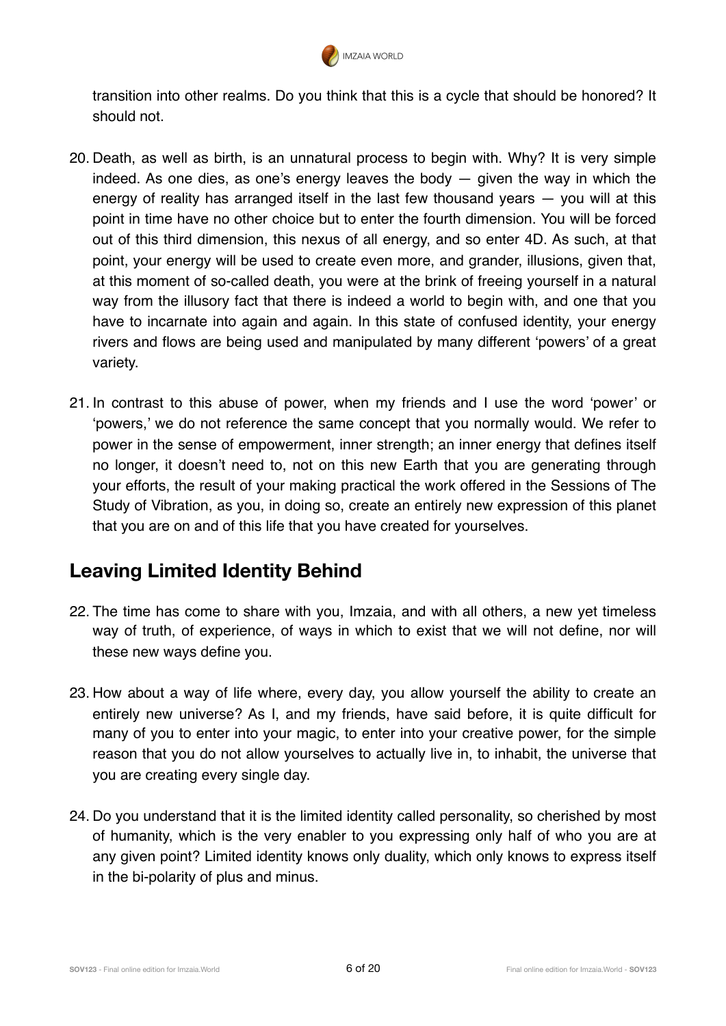

transition into other realms. Do you think that this is a cycle that should be honored? It should not.

- 20. Death, as well as birth, is an unnatural process to begin with. Why? It is very simple indeed. As one dies, as one's energy leaves the body  $-$  given the way in which the energy of reality has arranged itself in the last few thousand years — you will at this point in time have no other choice but to enter the fourth dimension. You will be forced out of this third dimension, this nexus of all energy, and so enter 4D. As such, at that point, your energy will be used to create even more, and grander, illusions, given that, at this moment of so-called death, you were at the brink of freeing yourself in a natural way from the illusory fact that there is indeed a world to begin with, and one that you have to incarnate into again and again. In this state of confused identity, your energy rivers and flows are being used and manipulated by many different 'powers' of a great variety.
- 21. In contrast to this abuse of power, when my friends and I use the word 'power' or 'powers,' we do not reference the same concept that you normally would. We refer to power in the sense of empowerment, inner strength; an inner energy that defines itself no longer, it doesn't need to, not on this new Earth that you are generating through your efforts, the result of your making practical the work offered in the Sessions of The Study of Vibration, as you, in doing so, create an entirely new expression of this planet that you are on and of this life that you have created for yourselves.

# **Leaving Limited Identity Behind**

- 22. The time has come to share with you, Imzaia, and with all others, a new yet timeless way of truth, of experience, of ways in which to exist that we will not define, nor will these new ways define you.
- 23. How about a way of life where, every day, you allow yourself the ability to create an entirely new universe? As I, and my friends, have said before, it is quite difficult for many of you to enter into your magic, to enter into your creative power, for the simple reason that you do not allow yourselves to actually live in, to inhabit, the universe that you are creating every single day.
- 24. Do you understand that it is the limited identity called personality, so cherished by most of humanity, which is the very enabler to you expressing only half of who you are at any given point? Limited identity knows only duality, which only knows to express itself in the bi-polarity of plus and minus.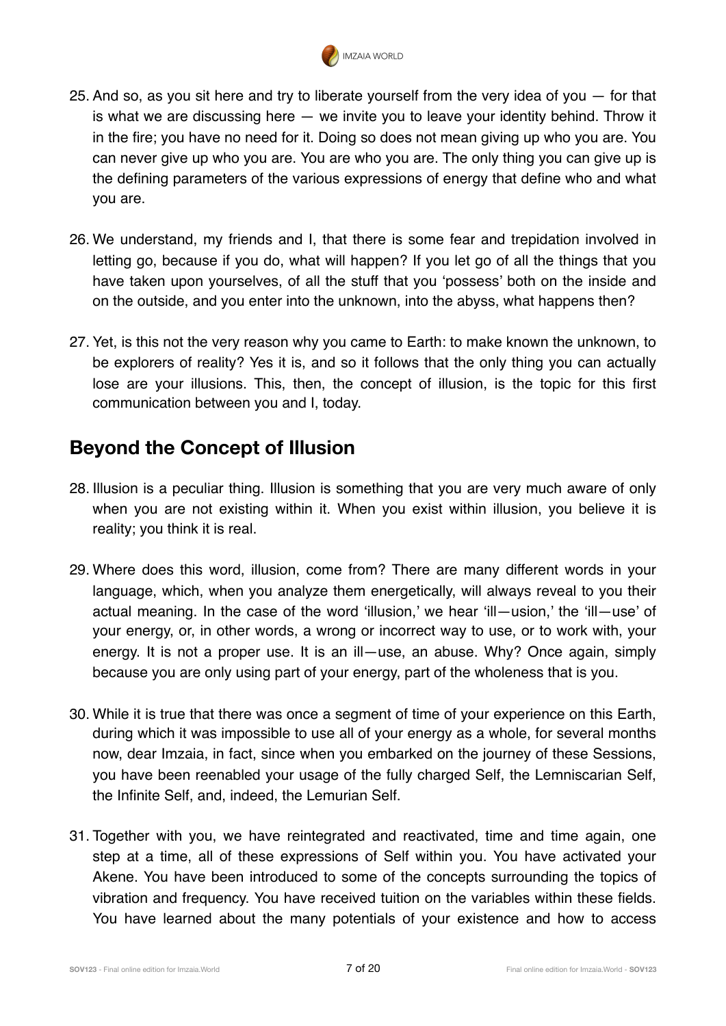

- 25. And so, as you sit here and try to liberate yourself from the very idea of you for that is what we are discussing here — we invite you to leave your identity behind. Throw it in the fire; you have no need for it. Doing so does not mean giving up who you are. You can never give up who you are. You are who you are. The only thing you can give up is the defining parameters of the various expressions of energy that define who and what you are.
- 26. We understand, my friends and I, that there is some fear and trepidation involved in letting go, because if you do, what will happen? If you let go of all the things that you have taken upon yourselves, of all the stuff that you 'possess' both on the inside and on the outside, and you enter into the unknown, into the abyss, what happens then?
- 27. Yet, is this not the very reason why you came to Earth: to make known the unknown, to be explorers of reality? Yes it is, and so it follows that the only thing you can actually lose are your illusions. This, then, the concept of illusion, is the topic for this first communication between you and I, today.

# **Beyond the Concept of Illusion**

- 28. Illusion is a peculiar thing. Illusion is something that you are very much aware of only when you are not existing within it. When you exist within illusion, you believe it is reality; you think it is real.
- 29. Where does this word, illusion, come from? There are many different words in your language, which, when you analyze them energetically, will always reveal to you their actual meaning. In the case of the word 'illusion,' we hear 'ill—usion,' the 'ill—use' of your energy, or, in other words, a wrong or incorrect way to use, or to work with, your energy. It is not a proper use. It is an ill—use, an abuse. Why? Once again, simply because you are only using part of your energy, part of the wholeness that is you.
- 30. While it is true that there was once a segment of time of your experience on this Earth, during which it was impossible to use all of your energy as a whole, for several months now, dear Imzaia, in fact, since when you embarked on the journey of these Sessions, you have been reenabled your usage of the fully charged Self, the Lemniscarian Self, the Infinite Self, and, indeed, the Lemurian Self.
- 31. Together with you, we have reintegrated and reactivated, time and time again, one step at a time, all of these expressions of Self within you. You have activated your Akene. You have been introduced to some of the concepts surrounding the topics of vibration and frequency. You have received tuition on the variables within these fields. You have learned about the many potentials of your existence and how to access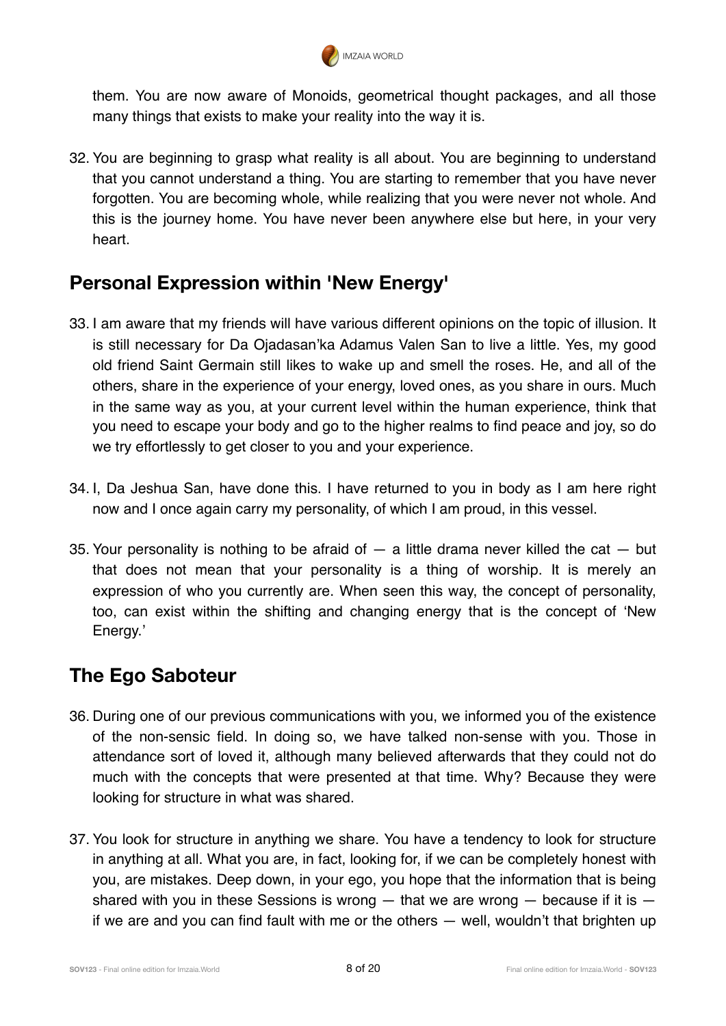

them. You are now aware of Monoids, geometrical thought packages, and all those many things that exists to make your reality into the way it is.

32. You are beginning to grasp what reality is all about. You are beginning to understand that you cannot understand a thing. You are starting to remember that you have never forgotten. You are becoming whole, while realizing that you were never not whole. And this is the journey home. You have never been anywhere else but here, in your very heart.

### **Personal Expression within 'New Energy'**

- 33. I am aware that my friends will have various different opinions on the topic of illusion. It is still necessary for Da Ojadasan'ka Adamus Valen San to live a little. Yes, my good old friend Saint Germain still likes to wake up and smell the roses. He, and all of the others, share in the experience of your energy, loved ones, as you share in ours. Much in the same way as you, at your current level within the human experience, think that you need to escape your body and go to the higher realms to find peace and joy, so do we try effortlessly to get closer to you and your experience.
- 34. I, Da Jeshua San, have done this. I have returned to you in body as I am here right now and I once again carry my personality, of which I am proud, in this vessel.
- 35. Your personality is nothing to be afraid of  $-$  a little drama never killed the cat  $-$  but that does not mean that your personality is a thing of worship. It is merely an expression of who you currently are. When seen this way, the concept of personality, too, can exist within the shifting and changing energy that is the concept of 'New Energy.'

# **The Ego Saboteur**

- 36. During one of our previous communications with you, we informed you of the existence of the non-sensic field. In doing so, we have talked non-sense with you. Those in attendance sort of loved it, although many believed afterwards that they could not do much with the concepts that were presented at that time. Why? Because they were looking for structure in what was shared.
- 37. You look for structure in anything we share. You have a tendency to look for structure in anything at all. What you are, in fact, looking for, if we can be completely honest with you, are mistakes. Deep down, in your ego, you hope that the information that is being shared with you in these Sessions is wrong  $-$  that we are wrong  $-$  because if it is  $$ if we are and you can find fault with me or the others — well, wouldn't that brighten up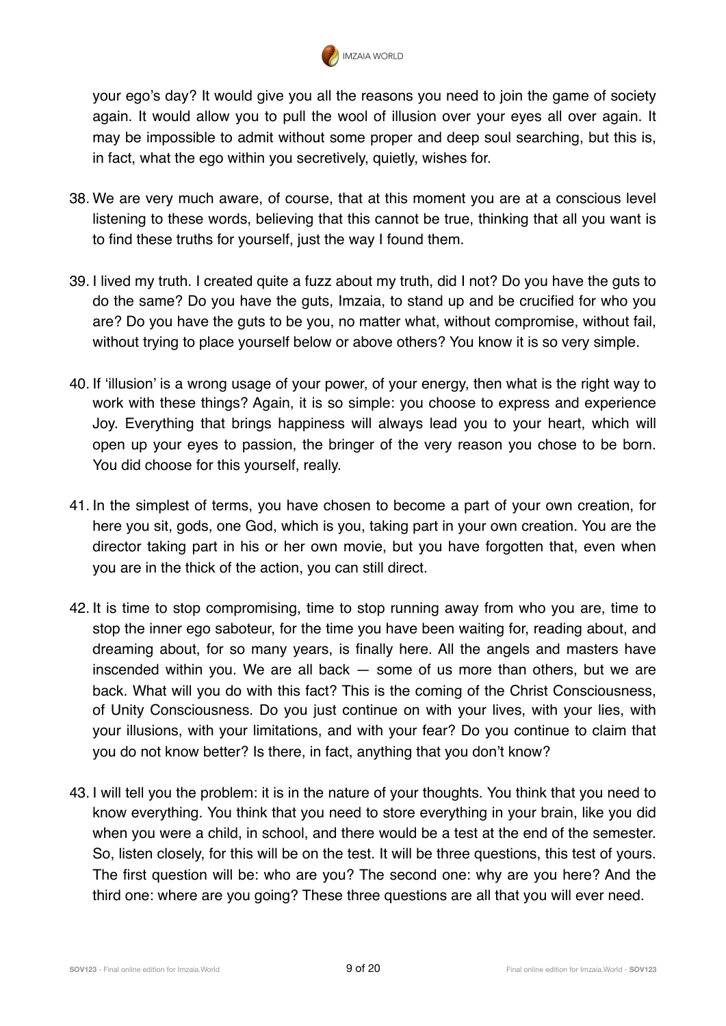

your ego's day? It would give you all the reasons you need to join the game of society again. It would allow you to pull the wool of illusion over your eyes all over again. It may be impossible to admit without some proper and deep soul searching, but this is, in fact, what the ego within you secretively, quietly, wishes for.

- 38. We are very much aware, of course, that at this moment you are at a conscious level listening to these words, believing that this cannot be true, thinking that all you want is to find these truths for yourself, just the way I found them.
- 39. I lived my truth. I created quite a fuzz about my truth, did I not? Do you have the guts to do the same? Do you have the guts, Imzaia, to stand up and be crucified for who you are? Do you have the guts to be you, no matter what, without compromise, without fail, without trying to place yourself below or above others? You know it is so very simple.
- 40. If 'illusion' is a wrong usage of your power, of your energy, then what is the right way to work with these things? Again, it is so simple: you choose to express and experience Joy. Everything that brings happiness will always lead you to your heart, which will open up your eyes to passion, the bringer of the very reason you chose to be born. You did choose for this yourself, really.
- 41. In the simplest of terms, you have chosen to become a part of your own creation, for here you sit, gods, one God, which is you, taking part in your own creation. You are the director taking part in his or her own movie, but you have forgotten that, even when you are in the thick of the action, you can still direct.
- 42. It is time to stop compromising, time to stop running away from who you are, time to stop the inner ego saboteur, for the time you have been waiting for, reading about, and dreaming about, for so many years, is finally here. All the angels and masters have inscended within you. We are all back — some of us more than others, but we are back. What will you do with this fact? This is the coming of the Christ Consciousness, of Unity Consciousness. Do you just continue on with your lives, with your lies, with your illusions, with your limitations, and with your fear? Do you continue to claim that you do not know better? Is there, in fact, anything that you don't know?
- 43. I will tell you the problem: it is in the nature of your thoughts. You think that you need to know everything. You think that you need to store everything in your brain, like you did when you were a child, in school, and there would be a test at the end of the semester. So, listen closely, for this will be on the test. It will be three questions, this test of yours. The first question will be: who are you? The second one: why are you here? And the third one: where are you going? These three questions are all that you will ever need.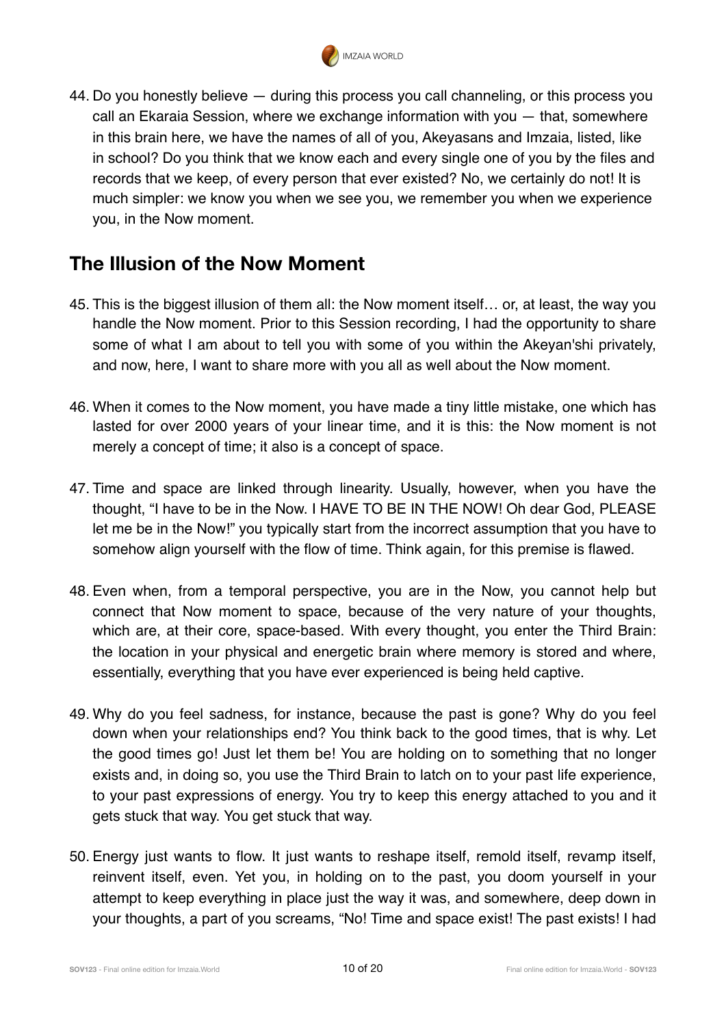

44. Do you honestly believe — during this process you call channeling, or this process you call an Ekaraia Session, where we exchange information with you — that, somewhere in this brain here, we have the names of all of you, Akeyasans and Imzaia, listed, like in school? Do you think that we know each and every single one of you by the files and records that we keep, of every person that ever existed? No, we certainly do not! It is much simpler: we know you when we see you, we remember you when we experience you, in the Now moment.

# **The Illusion of the Now Moment**

- 45. This is the biggest illusion of them all: the Now moment itself… or, at least, the way you handle the Now moment. Prior to this Session recording, I had the opportunity to share some of what I am about to tell you with some of you within the Akeyan'shi privately, and now, here, I want to share more with you all as well about the Now moment.
- 46. When it comes to the Now moment, you have made a tiny little mistake, one which has lasted for over 2000 years of your linear time, and it is this: the Now moment is not merely a concept of time; it also is a concept of space.
- 47. Time and space are linked through linearity. Usually, however, when you have the thought, "I have to be in the Now. I HAVE TO BE IN THE NOW! Oh dear God, PLEASE let me be in the Now!" you typically start from the incorrect assumption that you have to somehow align yourself with the flow of time. Think again, for this premise is flawed.
- 48. Even when, from a temporal perspective, you are in the Now, you cannot help but connect that Now moment to space, because of the very nature of your thoughts, which are, at their core, space-based. With every thought, you enter the Third Brain: the location in your physical and energetic brain where memory is stored and where, essentially, everything that you have ever experienced is being held captive.
- 49. Why do you feel sadness, for instance, because the past is gone? Why do you feel down when your relationships end? You think back to the good times, that is why. Let the good times go! Just let them be! You are holding on to something that no longer exists and, in doing so, you use the Third Brain to latch on to your past life experience, to your past expressions of energy. You try to keep this energy attached to you and it gets stuck that way. You get stuck that way.
- 50. Energy just wants to flow. It just wants to reshape itself, remold itself, revamp itself, reinvent itself, even. Yet you, in holding on to the past, you doom yourself in your attempt to keep everything in place just the way it was, and somewhere, deep down in your thoughts, a part of you screams, "No! Time and space exist! The past exists! I had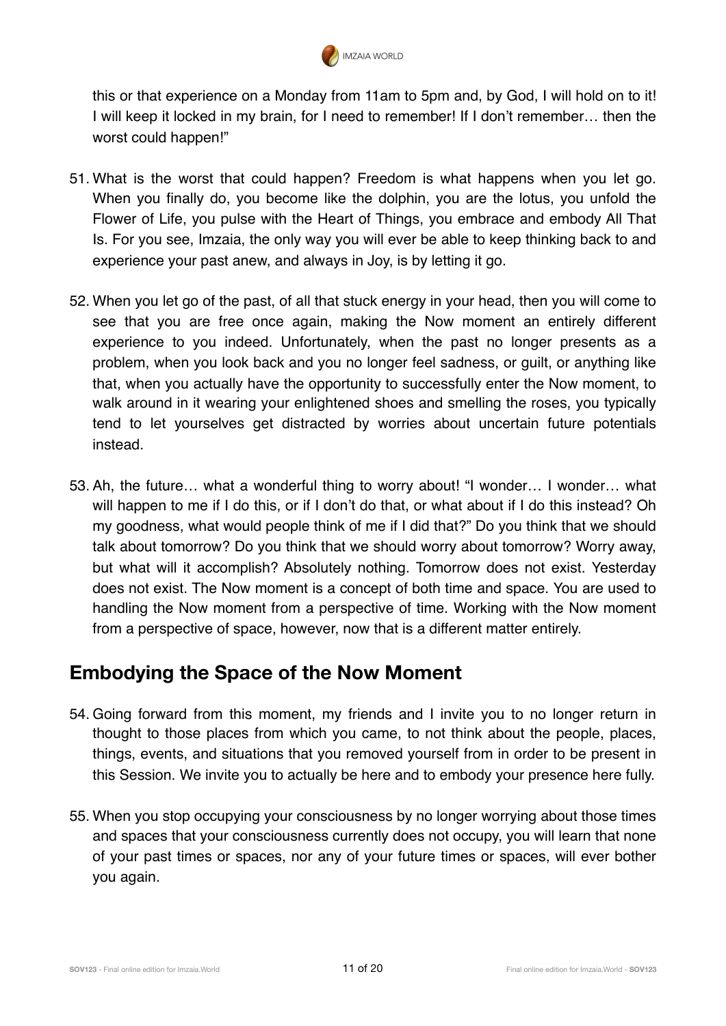

this or that experience on a Monday from 11am to 5pm and, by God, I will hold on to it! I will keep it locked in my brain, for I need to remember! If I don't remember… then the worst could happen!"

- 51. What is the worst that could happen? Freedom is what happens when you let go. When you finally do, you become like the dolphin, you are the lotus, you unfold the Flower of Life, you pulse with the Heart of Things, you embrace and embody All That Is. For you see, Imzaia, the only way you will ever be able to keep thinking back to and experience your past anew, and always in Joy, is by letting it go.
- 52. When you let go of the past, of all that stuck energy in your head, then you will come to see that you are free once again, making the Now moment an entirely different experience to you indeed. Unfortunately, when the past no longer presents as a problem, when you look back and you no longer feel sadness, or guilt, or anything like that, when you actually have the opportunity to successfully enter the Now moment, to walk around in it wearing your enlightened shoes and smelling the roses, you typically tend to let yourselves get distracted by worries about uncertain future potentials instead.
- 53. Ah, the future… what a wonderful thing to worry about! "I wonder… I wonder… what will happen to me if I do this, or if I don't do that, or what about if I do this instead? Oh my goodness, what would people think of me if I did that?" Do you think that we should talk about tomorrow? Do you think that we should worry about tomorrow? Worry away, but what will it accomplish? Absolutely nothing. Tomorrow does not exist. Yesterday does not exist. The Now moment is a concept of both time and space. You are used to handling the Now moment from a perspective of time. Working with the Now moment from a perspective of space, however, now that is a different matter entirely.

#### **Embodying the Space of the Now Moment**

- 54. Going forward from this moment, my friends and I invite you to no longer return in thought to those places from which you came, to not think about the people, places, things, events, and situations that you removed yourself from in order to be present in this Session. We invite you to actually be here and to embody your presence here fully.
- 55. When you stop occupying your consciousness by no longer worrying about those times and spaces that your consciousness currently does not occupy, you will learn that none of your past times or spaces, nor any of your future times or spaces, will ever bother you again.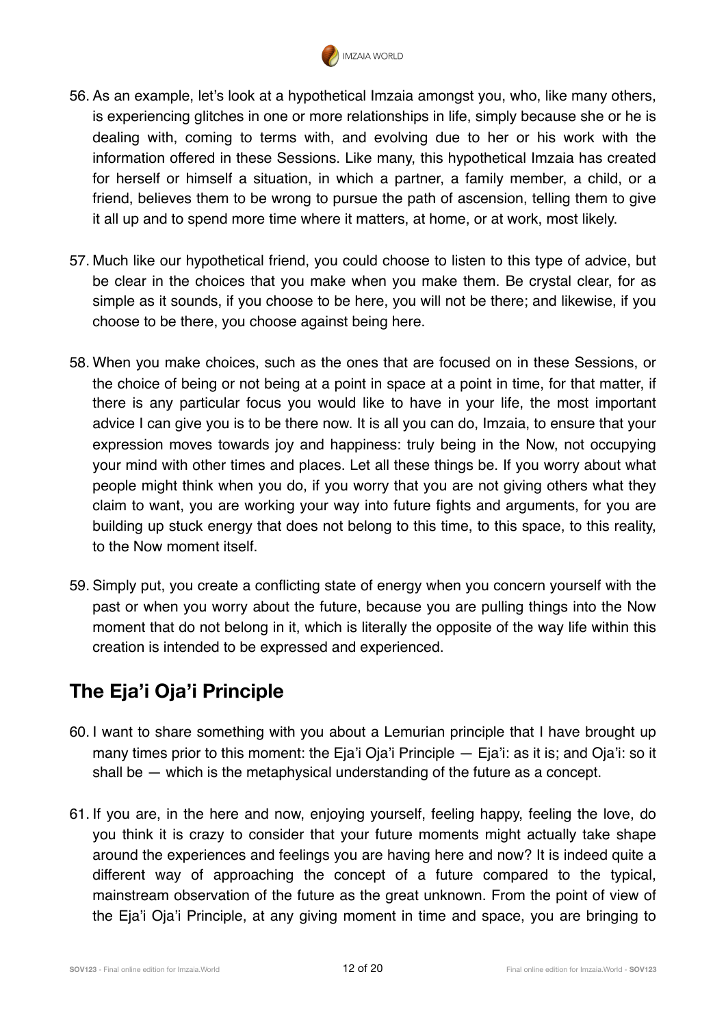

- 56. As an example, let's look at a hypothetical Imzaia amongst you, who, like many others, is experiencing glitches in one or more relationships in life, simply because she or he is dealing with, coming to terms with, and evolving due to her or his work with the information offered in these Sessions. Like many, this hypothetical Imzaia has created for herself or himself a situation, in which a partner, a family member, a child, or a friend, believes them to be wrong to pursue the path of ascension, telling them to give it all up and to spend more time where it matters, at home, or at work, most likely.
- 57. Much like our hypothetical friend, you could choose to listen to this type of advice, but be clear in the choices that you make when you make them. Be crystal clear, for as simple as it sounds, if you choose to be here, you will not be there; and likewise, if you choose to be there, you choose against being here.
- 58. When you make choices, such as the ones that are focused on in these Sessions, or the choice of being or not being at a point in space at a point in time, for that matter, if there is any particular focus you would like to have in your life, the most important advice I can give you is to be there now. It is all you can do, Imzaia, to ensure that your expression moves towards joy and happiness: truly being in the Now, not occupying your mind with other times and places. Let all these things be. If you worry about what people might think when you do, if you worry that you are not giving others what they claim to want, you are working your way into future fights and arguments, for you are building up stuck energy that does not belong to this time, to this space, to this reality, to the Now moment itself.
- 59. Simply put, you create a conflicting state of energy when you concern yourself with the past or when you worry about the future, because you are pulling things into the Now moment that do not belong in it, which is literally the opposite of the way life within this creation is intended to be expressed and experienced.

# **The Eja'i Oja'i Principle**

- 60. I want to share something with you about a Lemurian principle that I have brought up many times prior to this moment: the Eja'i Oja'i Principle — Eja'i: as it is; and Oja'i: so it shall be — which is the metaphysical understanding of the future as a concept.
- 61. If you are, in the here and now, enjoying yourself, feeling happy, feeling the love, do you think it is crazy to consider that your future moments might actually take shape around the experiences and feelings you are having here and now? It is indeed quite a different way of approaching the concept of a future compared to the typical, mainstream observation of the future as the great unknown. From the point of view of the Eja'i Oja'i Principle, at any giving moment in time and space, you are bringing to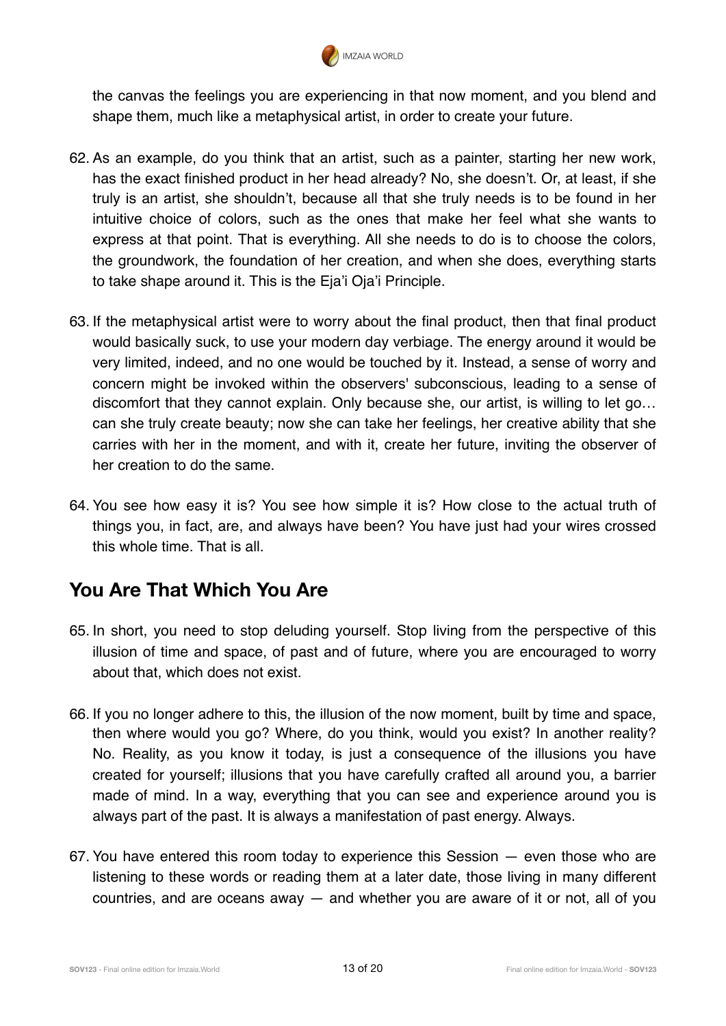

the canvas the feelings you are experiencing in that now moment, and you blend and shape them, much like a metaphysical artist, in order to create your future.

- 62. As an example, do you think that an artist, such as a painter, starting her new work, has the exact finished product in her head already? No, she doesn't. Or, at least, if she truly is an artist, she shouldn't, because all that she truly needs is to be found in her intuitive choice of colors, such as the ones that make her feel what she wants to express at that point. That is everything. All she needs to do is to choose the colors, the groundwork, the foundation of her creation, and when she does, everything starts to take shape around it. This is the Eja'i Oja'i Principle.
- 63. If the metaphysical artist were to worry about the final product, then that final product would basically suck, to use your modern day verbiage. The energy around it would be very limited, indeed, and no one would be touched by it. Instead, a sense of worry and concern might be invoked within the observers' subconscious, leading to a sense of discomfort that they cannot explain. Only because she, our artist, is willing to let go… can she truly create beauty; now she can take her feelings, her creative ability that she carries with her in the moment, and with it, create her future, inviting the observer of her creation to do the same.
- 64. You see how easy it is? You see how simple it is? How close to the actual truth of things you, in fact, are, and always have been? You have just had your wires crossed this whole time. That is all.

# **You Are That Which You Are**

- 65. In short, you need to stop deluding yourself. Stop living from the perspective of this illusion of time and space, of past and of future, where you are encouraged to worry about that, which does not exist.
- 66. If you no longer adhere to this, the illusion of the now moment, built by time and space, then where would you go? Where, do you think, would you exist? In another reality? No. Reality, as you know it today, is just a consequence of the illusions you have created for yourself; illusions that you have carefully crafted all around you, a barrier made of mind. In a way, everything that you can see and experience around you is always part of the past. It is always a manifestation of past energy. Always.
- 67. You have entered this room today to experience this Session even those who are listening to these words or reading them at a later date, those living in many different countries, and are oceans away — and whether you are aware of it or not, all of you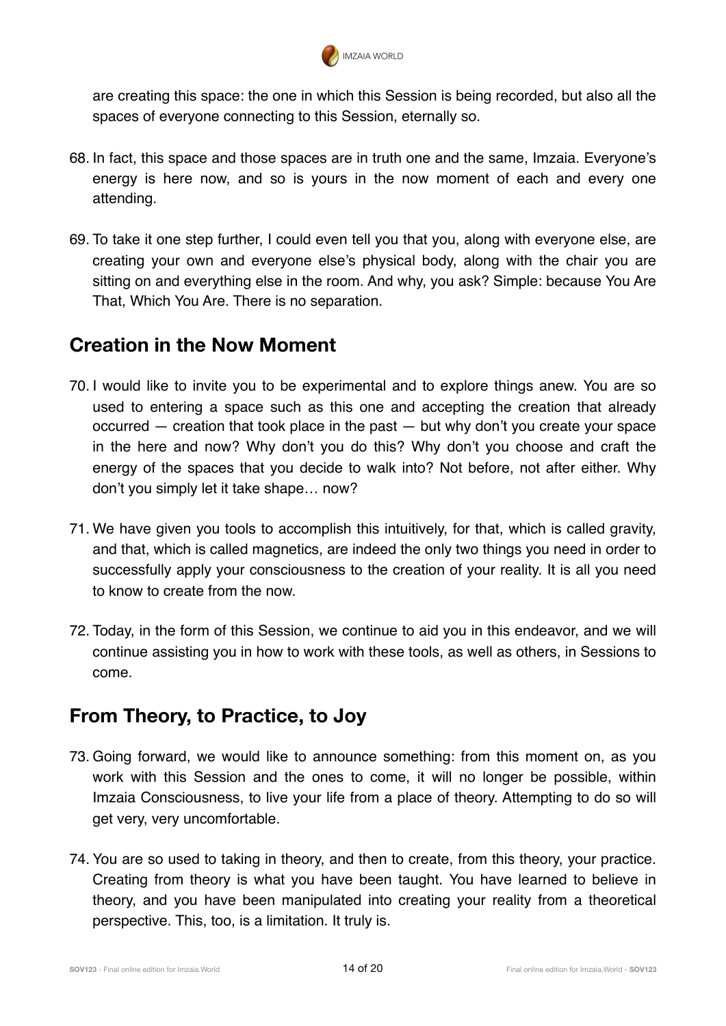

are creating this space: the one in which this Session is being recorded, but also all the spaces of everyone connecting to this Session, eternally so.

- 68. In fact, this space and those spaces are in truth one and the same, Imzaia. Everyone's energy is here now, and so is yours in the now moment of each and every one attending.
- 69. To take it one step further, I could even tell you that you, along with everyone else, are creating your own and everyone else's physical body, along with the chair you are sitting on and everything else in the room. And why, you ask? Simple: because You Are That, Which You Are. There is no separation.

#### **Creation in the Now Moment**

- 70. I would like to invite you to be experimental and to explore things anew. You are so used to entering a space such as this one and accepting the creation that already occurred — creation that took place in the past — but why don't you create your space in the here and now? Why don't you do this? Why don't you choose and craft the energy of the spaces that you decide to walk into? Not before, not after either. Why don't you simply let it take shape… now?
- 71. We have given you tools to accomplish this intuitively, for that, which is called gravity, and that, which is called magnetics, are indeed the only two things you need in order to successfully apply your consciousness to the creation of your reality. It is all you need to know to create from the now.
- 72. Today, in the form of this Session, we continue to aid you in this endeavor, and we will continue assisting you in how to work with these tools, as well as others, in Sessions to come.

#### **From Theory, to Practice, to Joy**

- 73. Going forward, we would like to announce something: from this moment on, as you work with this Session and the ones to come, it will no longer be possible, within Imzaia Consciousness, to live your life from a place of theory. Attempting to do so will get very, very uncomfortable.
- 74. You are so used to taking in theory, and then to create, from this theory, your practice. Creating from theory is what you have been taught. You have learned to believe in theory, and you have been manipulated into creating your reality from a theoretical perspective. This, too, is a limitation. It truly is.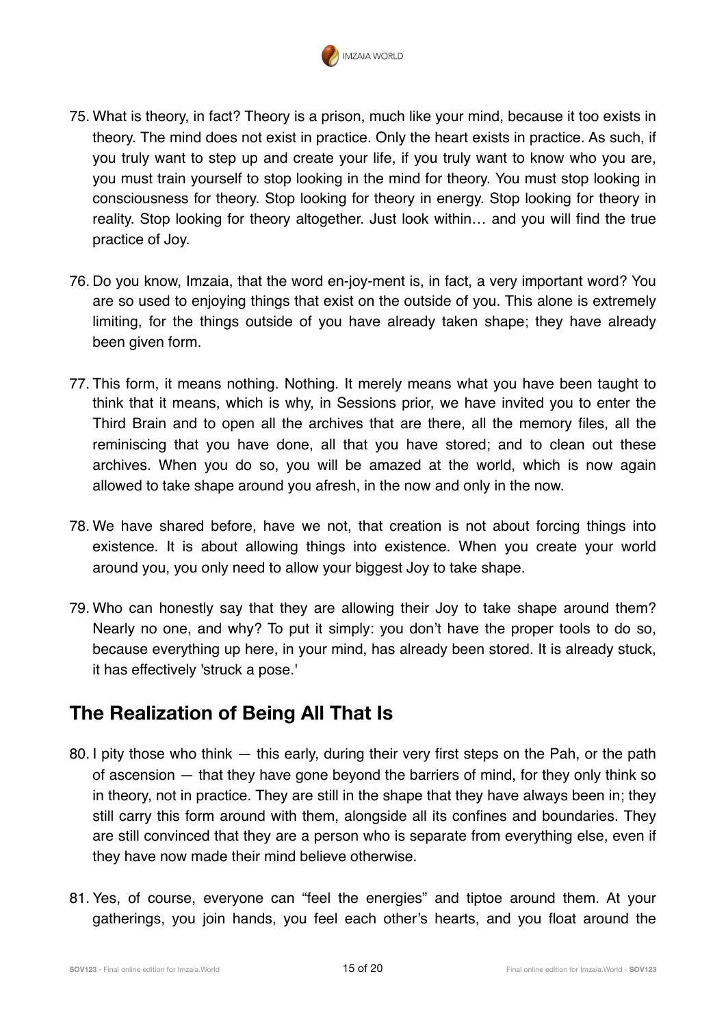

- 75. What is theory, in fact? Theory is a prison, much like your mind, because it too exists in theory. The mind does not exist in practice. Only the heart exists in practice. As such, if you truly want to step up and create your life, if you truly want to know who you are, you must train yourself to stop looking in the mind for theory. You must stop looking in consciousness for theory. Stop looking for theory in energy. Stop looking for theory in reality. Stop looking for theory altogether. Just look within… and you will find the true practice of Joy.
- 76. Do you know, Imzaia, that the word en-joy-ment is, in fact, a very important word? You are so used to enjoying things that exist on the outside of you. This alone is extremely limiting, for the things outside of you have already taken shape; they have already been given form.
- 77. This form, it means nothing. Nothing. It merely means what you have been taught to think that it means, which is why, in Sessions prior, we have invited you to enter the Third Brain and to open all the archives that are there, all the memory files, all the reminiscing that you have done, all that you have stored; and to clean out these archives. When you do so, you will be amazed at the world, which is now again allowed to take shape around you afresh, in the now and only in the now.
- 78. We have shared before, have we not, that creation is not about forcing things into existence. It is about allowing things into existence. When you create your world around you, you only need to allow your biggest Joy to take shape.
- 79. Who can honestly say that they are allowing their Joy to take shape around them? Nearly no one, and why? To put it simply: you don't have the proper tools to do so, because everything up here, in your mind, has already been stored. It is already stuck, it has effectively 'struck a pose.'

# **The Realization of Being All That Is**

- 80. I pity those who think this early, during their very first steps on the Pah, or the path of ascension — that they have gone beyond the barriers of mind, for they only think so in theory, not in practice. They are still in the shape that they have always been in; they still carry this form around with them, alongside all its confines and boundaries. They are still convinced that they are a person who is separate from everything else, even if they have now made their mind believe otherwise.
- 81. Yes, of course, everyone can "feel the energies" and tiptoe around them. At your gatherings, you join hands, you feel each other's hearts, and you float around the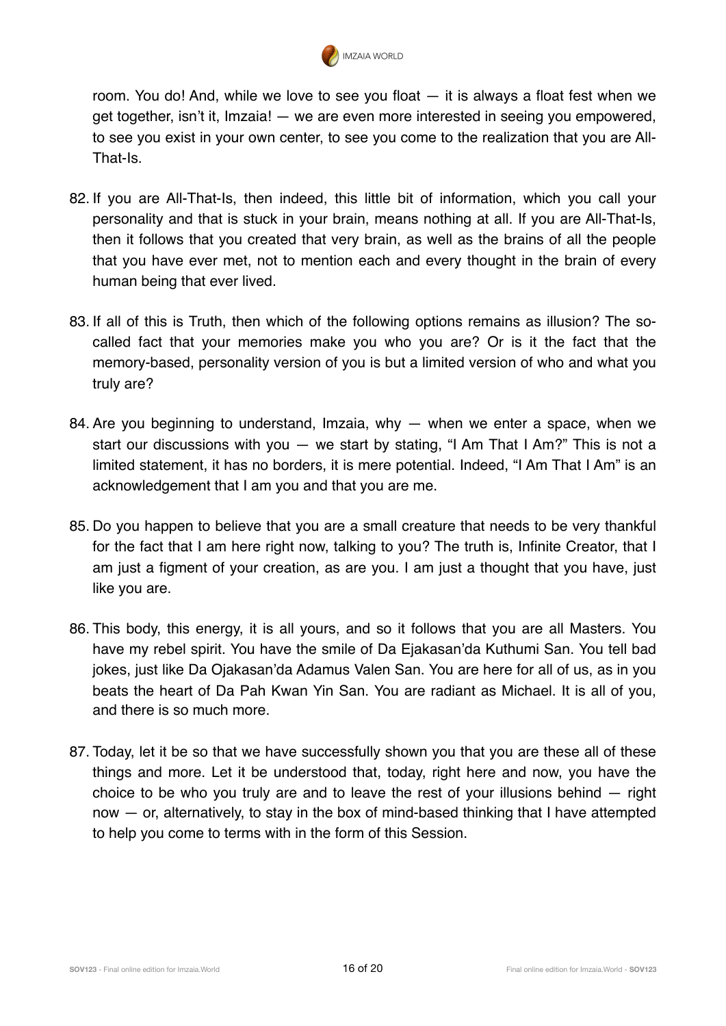

room. You do! And, while we love to see you float — it is always a float fest when we get together, isn't it, Imzaia! — we are even more interested in seeing you empowered, to see you exist in your own center, to see you come to the realization that you are All-That-Is.

- 82. If you are All-That-Is, then indeed, this little bit of information, which you call your personality and that is stuck in your brain, means nothing at all. If you are All-That-Is, then it follows that you created that very brain, as well as the brains of all the people that you have ever met, not to mention each and every thought in the brain of every human being that ever lived.
- 83. If all of this is Truth, then which of the following options remains as illusion? The socalled fact that your memories make you who you are? Or is it the fact that the memory-based, personality version of you is but a limited version of who and what you truly are?
- 84. Are you beginning to understand, Imzaia, why when we enter a space, when we start our discussions with you  $-$  we start by stating, "I Am That I Am?" This is not a limited statement, it has no borders, it is mere potential. Indeed, "I Am That I Am" is an acknowledgement that I am you and that you are me.
- 85. Do you happen to believe that you are a small creature that needs to be very thankful for the fact that I am here right now, talking to you? The truth is, Infinite Creator, that I am just a figment of your creation, as are you. I am just a thought that you have, just like you are.
- 86. This body, this energy, it is all yours, and so it follows that you are all Masters. You have my rebel spirit. You have the smile of Da Ejakasan'da Kuthumi San. You tell bad jokes, just like Da Ojakasan'da Adamus Valen San. You are here for all of us, as in you beats the heart of Da Pah Kwan Yin San. You are radiant as Michael. It is all of you, and there is so much more.
- 87. Today, let it be so that we have successfully shown you that you are these all of these things and more. Let it be understood that, today, right here and now, you have the choice to be who you truly are and to leave the rest of your illusions behind — right now — or, alternatively, to stay in the box of mind-based thinking that I have attempted to help you come to terms with in the form of this Session.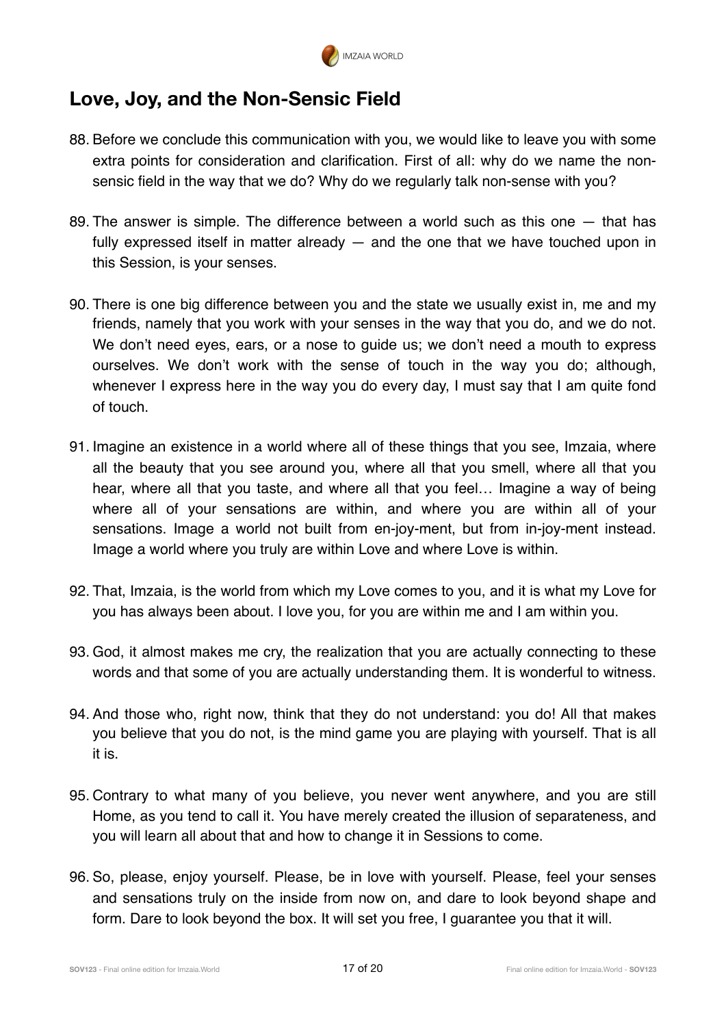

### **Love, Joy, and the Non-Sensic Field**

- 88. Before we conclude this communication with you, we would like to leave you with some extra points for consideration and clarification. First of all: why do we name the nonsensic field in the way that we do? Why do we regularly talk non-sense with you?
- 89. The answer is simple. The difference between a world such as this one that has fully expressed itself in matter already  $-$  and the one that we have touched upon in this Session, is your senses.
- 90. There is one big difference between you and the state we usually exist in, me and my friends, namely that you work with your senses in the way that you do, and we do not. We don't need eyes, ears, or a nose to guide us; we don't need a mouth to express ourselves. We don't work with the sense of touch in the way you do; although, whenever I express here in the way you do every day, I must say that I am quite fond of touch.
- 91. Imagine an existence in a world where all of these things that you see, Imzaia, where all the beauty that you see around you, where all that you smell, where all that you hear, where all that you taste, and where all that you feel… Imagine a way of being where all of your sensations are within, and where you are within all of your sensations. Image a world not built from en-joy-ment, but from in-joy-ment instead. Image a world where you truly are within Love and where Love is within.
- 92. That, Imzaia, is the world from which my Love comes to you, and it is what my Love for you has always been about. I love you, for you are within me and I am within you.
- 93. God, it almost makes me cry, the realization that you are actually connecting to these words and that some of you are actually understanding them. It is wonderful to witness.
- 94. And those who, right now, think that they do not understand: you do! All that makes you believe that you do not, is the mind game you are playing with yourself. That is all it is.
- 95. Contrary to what many of you believe, you never went anywhere, and you are still Home, as you tend to call it. You have merely created the illusion of separateness, and you will learn all about that and how to change it in Sessions to come.
- 96. So, please, enjoy yourself. Please, be in love with yourself. Please, feel your senses and sensations truly on the inside from now on, and dare to look beyond shape and form. Dare to look beyond the box. It will set you free, I guarantee you that it will.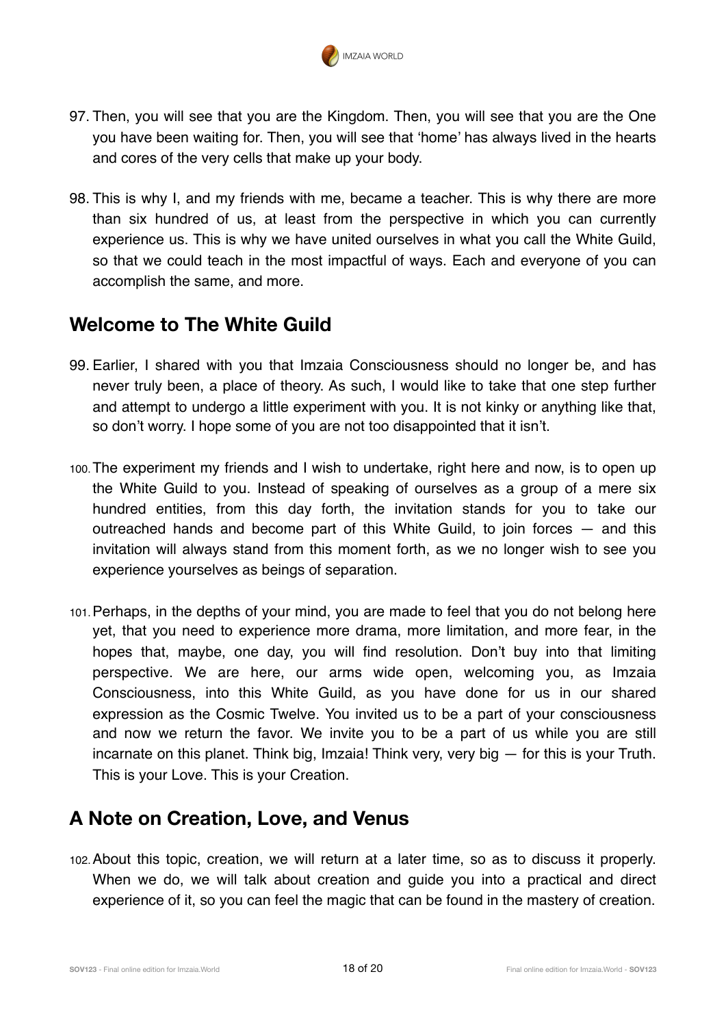

- 97. Then, you will see that you are the Kingdom. Then, you will see that you are the One you have been waiting for. Then, you will see that 'home' has always lived in the hearts and cores of the very cells that make up your body.
- 98. This is why I, and my friends with me, became a teacher. This is why there are more than six hundred of us, at least from the perspective in which you can currently experience us. This is why we have united ourselves in what you call the White Guild, so that we could teach in the most impactful of ways. Each and everyone of you can accomplish the same, and more.

### **Welcome to The White Guild**

- 99. Earlier, I shared with you that Imzaia Consciousness should no longer be, and has never truly been, a place of theory. As such, I would like to take that one step further and attempt to undergo a little experiment with you. It is not kinky or anything like that, so don't worry. I hope some of you are not too disappointed that it isn't.
- 100.The experiment my friends and I wish to undertake, right here and now, is to open up the White Guild to you. Instead of speaking of ourselves as a group of a mere six hundred entities, from this day forth, the invitation stands for you to take our outreached hands and become part of this White Guild, to join forces — and this invitation will always stand from this moment forth, as we no longer wish to see you experience yourselves as beings of separation.
- 101.Perhaps, in the depths of your mind, you are made to feel that you do not belong here yet, that you need to experience more drama, more limitation, and more fear, in the hopes that, maybe, one day, you will find resolution. Don't buy into that limiting perspective. We are here, our arms wide open, welcoming you, as Imzaia Consciousness, into this White Guild, as you have done for us in our shared expression as the Cosmic Twelve. You invited us to be a part of your consciousness and now we return the favor. We invite you to be a part of us while you are still incarnate on this planet. Think big, Imzaia! Think very, very big  $-$  for this is your Truth. This is your Love. This is your Creation.

# **A Note on Creation, Love, and Venus**

102.About this topic, creation, we will return at a later time, so as to discuss it properly. When we do, we will talk about creation and guide you into a practical and direct experience of it, so you can feel the magic that can be found in the mastery of creation.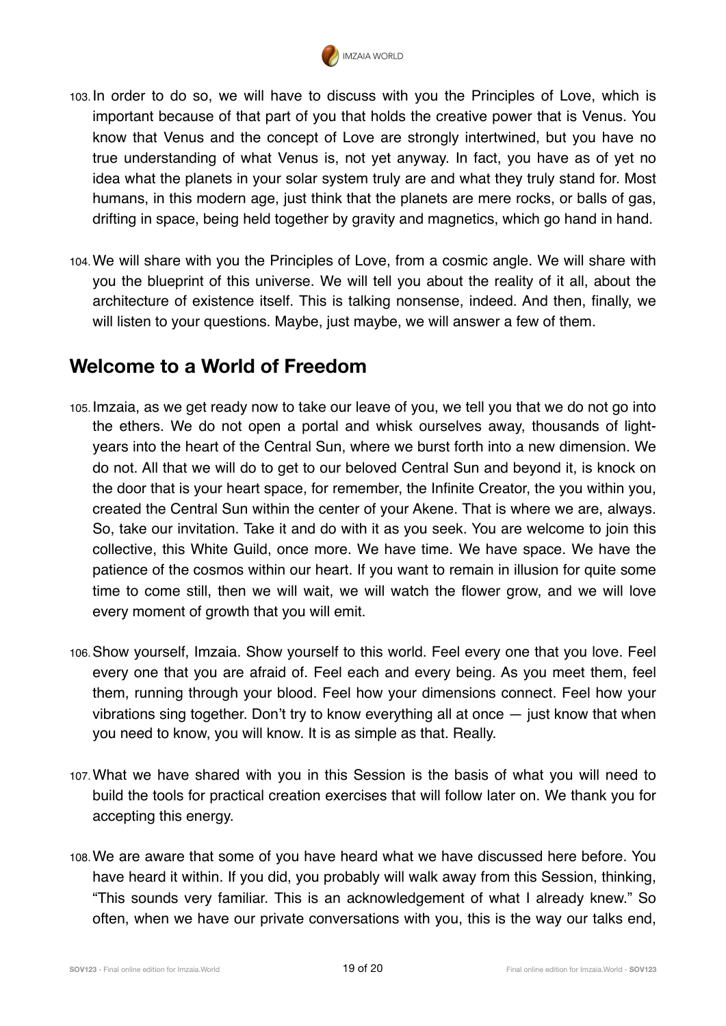

- 103. In order to do so, we will have to discuss with you the Principles of Love, which is important because of that part of you that holds the creative power that is Venus. You know that Venus and the concept of Love are strongly intertwined, but you have no true understanding of what Venus is, not yet anyway. In fact, you have as of yet no idea what the planets in your solar system truly are and what they truly stand for. Most humans, in this modern age, just think that the planets are mere rocks, or balls of gas, drifting in space, being held together by gravity and magnetics, which go hand in hand.
- 104.We will share with you the Principles of Love, from a cosmic angle. We will share with you the blueprint of this universe. We will tell you about the reality of it all, about the architecture of existence itself. This is talking nonsense, indeed. And then, finally, we will listen to your questions. Maybe, just maybe, we will answer a few of them.

#### **Welcome to a World of Freedom**

- 105. Imzaia, as we get ready now to take our leave of you, we tell you that we do not go into the ethers. We do not open a portal and whisk ourselves away, thousands of lightyears into the heart of the Central Sun, where we burst forth into a new dimension. We do not. All that we will do to get to our beloved Central Sun and beyond it, is knock on the door that is your heart space, for remember, the Infinite Creator, the you within you, created the Central Sun within the center of your Akene. That is where we are, always. So, take our invitation. Take it and do with it as you seek. You are welcome to join this collective, this White Guild, once more. We have time. We have space. We have the patience of the cosmos within our heart. If you want to remain in illusion for quite some time to come still, then we will wait, we will watch the flower grow, and we will love every moment of growth that you will emit.
- 106.Show yourself, Imzaia. Show yourself to this world. Feel every one that you love. Feel every one that you are afraid of. Feel each and every being. As you meet them, feel them, running through your blood. Feel how your dimensions connect. Feel how your vibrations sing together. Don't try to know everything all at once — just know that when you need to know, you will know. It is as simple as that. Really.
- 107.What we have shared with you in this Session is the basis of what you will need to build the tools for practical creation exercises that will follow later on. We thank you for accepting this energy.
- 108.We are aware that some of you have heard what we have discussed here before. You have heard it within. If you did, you probably will walk away from this Session, thinking, "This sounds very familiar. This is an acknowledgement of what I already knew." So often, when we have our private conversations with you, this is the way our talks end,